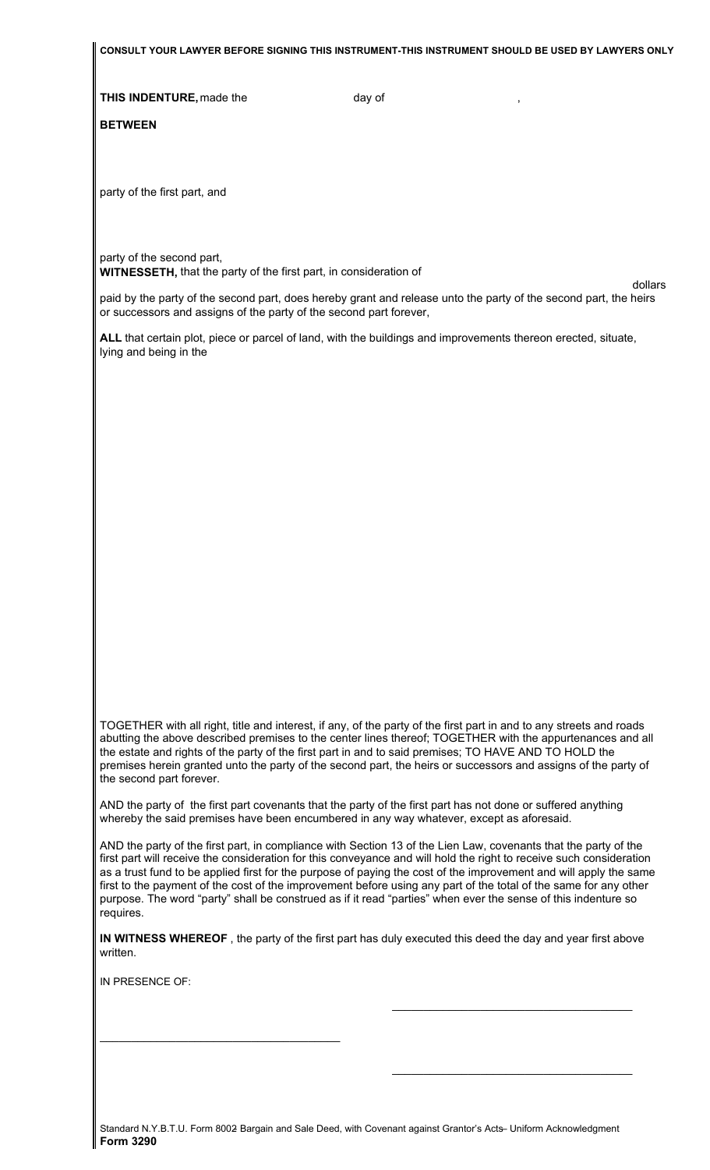**CONSULT YOUR LAWYER BEFORE SIGNING THIS INSTRUMENT-THIS INSTRUMENT SHOULD BE USED BY LAWYERS ONLY** 

**THIS INDENTURE,** made the day of

**BETWEEN**

party of the first part, and

party of the second part, **WITNESSETH,** that the party of the first part, in consideration of

paid by the party of the second part, does hereby grant and release unto the party of the second part, the heirs or successors and assigns of the party of the second part forever,

dollars

**ALL** that certain plot, piece or parcel of land, with the buildings and improvements thereon erected, situate, lying and being in the

TOGETHER with all right, title and interest, if any, of the party of the first part in and to any streets and roads abutting the above described premises to the center lines thereof; TOGETHER with the appurtenances and all the estate and rights of the party of the first part in and to said premises; TO HAVE AND TO HOLD the premises herein granted unto the party of the second part, the heirs or successors and assigns of the party of the second part forever.

AND the party of the first part covenants that the party of the first part has not done or suffered anything whereby the said premises have been encumbered in any way whatever, except as aforesaid.

AND the party of the first part, in compliance with Section 13 of the Lien Law, covenants that the party of the first part will receive the consideration for this conveyance and will hold the right to receive such consideration as a trust fund to be applied first for the purpose of paying the cost of the improvement and will apply the same first to the payment of the cost of the improvement before using any part of the total of the same for any other purpose. The word "party" shall be construed as if it read "parties" when ever the sense of this indenture so requires.

**IN WITNESS WHEREOF** , the party of the first part has duly executed this deed the day and year first above written.

\_\_\_\_\_\_\_\_\_\_\_\_\_\_\_\_\_\_\_\_\_\_\_\_\_\_\_\_\_\_\_\_\_\_\_\_\_\_

\_\_\_\_\_\_\_\_\_\_\_\_\_\_\_\_\_\_\_\_\_\_\_\_\_\_\_\_\_\_\_\_\_\_\_\_\_\_

IN PRESENCE OF:

\_\_\_\_\_\_\_\_\_\_\_\_\_\_\_\_\_\_\_\_\_\_\_\_\_\_\_\_\_\_\_\_\_\_\_\_\_\_